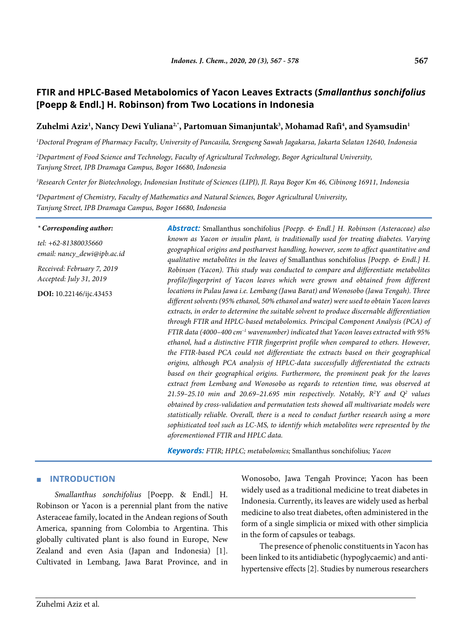# **FTIR and HPLC-Based Metabolomics of Yacon Leaves Extracts (***Smallanthus sonchifolius* **[Poepp & Endl.] H. Robinson) from Two Locations in Indonesia**

## Zuhelmi Aziz<sup>1</sup>, Nancy Dewi Yuliana<sup>2,</sup>\*, Partomuan Simanjuntak<sup>3</sup>, Mohamad Rafi<sup>4</sup>, and Syamsudin<sup>1</sup>

*1 Doctoral Program of Pharmacy Faculty, University of Pancasila, Srengseng Sawah Jagakarsa, Jakarta Selatan 12640, Indonesia*

*2 Department of Food Science and Technology, Faculty of Agricultural Technology, Bogor Agricultural University, Tanjung Street, IPB Dramaga Campus, Bogor 16680, Indonesia*

*3 Research Center for Biotechnology, Indonesian Institute of Sciences (LIPI), Jl. Raya Bogor Km 46, Cibinong 16911, Indonesia*

*4 Department of Chemistry, Faculty of Mathematics and Natural Sciences, Bogor Agricultural University, Tanjung Street, IPB Dramaga Campus, Bogor 16680, Indonesia*

#### *\* Corresponding author:*

*tel: +62-81380035660 email: nancy\_dewi@ipb.ac.id*

*Received: February 7, 2019 Accepted: July 31, 2019*

**DOI:** 10.22146/ijc.43453

*Abstract:* Smallanthus sonchifolius *[Poepp. & Endl.] H. Robinson (Asteraceae) also known as Yacon or insulin plant, is traditionally used for treating diabetes. Varying geographical origins and postharvest handling, however, seem to affect quantitative and qualitative metabolites in the leaves of* Smallanthus sonchifolius *[Poepp. & Endl.] H. Robinson (Yacon). This study was conducted to compare and differentiate metabolites profile/fingerprint of Yacon leaves which were grown and obtained from different locations in Pulau Jawa i.e. Lembang (Jawa Barat) and Wonosobo (Jawa Tengah). Three different solvents (95% ethanol, 50% ethanol and water) were used to obtain Yacon leaves extracts, in order to determine the suitable solvent to produce discernable differentiation through FTIR and HPLC-based metabolomics. Principal Component Analysis (PCA) of FTIR data (4000–400 cm–1 wavenumber) indicated that Yacon leaves extracted with 95% ethanol, had a distinctive FTIR fingerprint profile when compared to others. However, the FTIR-based PCA could not differentiate the extracts based on their geographical origins, although PCA analysis of HPLC-data successfully differentiated the extracts based on their geographical origins. Furthermore, the prominent peak for the leaves extract from Lembang and Wonosobo as regards to retention time, was observed at 21.59–25.10 min and 20.69–21.695 min respectively. Notably, R2 Y and Q2 values obtained by cross-validation and permutation tests showed all multivariate models were statistically reliable. Overall, there is a need to conduct further research using a more sophisticated tool such as LC-MS, to identify which metabolites were represented by the aforementioned FTIR and HPLC data.*

*Keywords: FTIR; HPLC; metabolomics;* Smallanthus sonchifolius*; Yacon*

### ■ **INTRODUCTION**

*Smallanthus sonchifolius* [Poepp. & Endl.] H. Robinson or Yacon is a perennial plant from the native Asteraceae family, located in the Andean regions of South America, spanning from Colombia to Argentina. This globally cultivated plant is also found in Europe, New Zealand and even Asia (Japan and Indonesia) [1]. Cultivated in Lembang, Jawa Barat Province, and in Wonosobo, Jawa Tengah Province; Yacon has been widely used as a traditional medicine to treat diabetes in Indonesia. Currently, its leaves are widely used as herbal medicine to also treat diabetes, often administered in the form of a single simplicia or mixed with other simplicia in the form of capsules or teabags.

The presence of phenolic constituents in Yacon has been linked to its antidiabetic (hypoglycaemic) and antihypertensive effects [2]. Studies by numerous researchers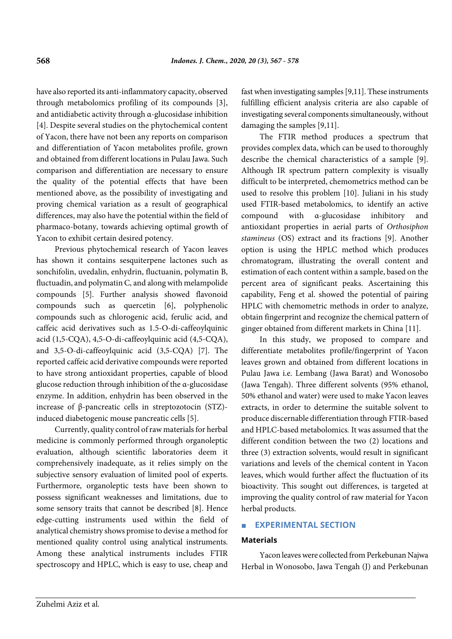have also reported its anti-inflammatory capacity, observed through metabolomics profiling of its compounds [3], and antidiabetic activity through α-glucosidase inhibition [4]. Despite several studies on the phytochemical content of Yacon, there have not been any reports on comparison and differentiation of Yacon metabolites profile, grown and obtained from different locations in Pulau Jawa. Such comparison and differentiation are necessary to ensure the quality of the potential effects that have been mentioned above, as the possibility of investigating and proving chemical variation as a result of geographical differences, may also have the potential within the field of pharmaco-botany, towards achieving optimal growth of Yacon to exhibit certain desired potency.

Previous phytochemical research of Yacon leaves has shown it contains sesquiterpene lactones such as sonchifolin, uvedalin, enhydrin, fluctuanin, polymatin B, fluctuadin, and polymatin C, and along with melampolide compounds [5]. Further analysis showed flavonoid compounds such as quercetin [6], polyphenolic compounds such as chlorogenic acid, ferulic acid, and caffeic acid derivatives such as 1.5-O-di-caffeoylquinic acid (1,5-CQA), 4,5-O-di-caffeoylquinic acid (4,5-CQA), and 3,5-O-di-caffeoylquinic acid (3,5-CQA) [7]. The reported caffeic acid derivative compounds were reported to have strong antioxidant properties, capable of blood glucose reduction through inhibition of the α-glucosidase enzyme. In addition, enhydrin has been observed in the increase of β-pancreatic cells in streptozotocin (STZ) induced diabetogenic mouse pancreatic cells [5].

Currently, quality control of raw materials for herbal medicine is commonly performed through organoleptic evaluation, although scientific laboratories deem it comprehensively inadequate, as it relies simply on the subjective sensory evaluation of limited pool of experts. Furthermore, organoleptic tests have been shown to possess significant weaknesses and limitations, due to some sensory traits that cannot be described [8]. Hence edge-cutting instruments used within the field of analytical chemistry shows promise to devise a method for mentioned quality control using analytical instruments. Among these analytical instruments includes FTIR spectroscopy and HPLC, which is easy to use, cheap and

fast when investigating samples [9,11]. These instruments fulfilling efficient analysis criteria are also capable of investigating several components simultaneously, without damaging the samples [9,11].

The FTIR method produces a spectrum that provides complex data, which can be used to thoroughly describe the chemical characteristics of a sample [9]. Although IR spectrum pattern complexity is visually difficult to be interpreted, chemometrics method can be used to resolve this problem [10]. Juliani in his study used FTIR-based metabolomics, to identify an active compound with α-glucosidase inhibitory and antioxidant properties in aerial parts of *Orthosiphon stamineus* (OS) extract and its fractions [9]. Another option is using the HPLC method which produces chromatogram, illustrating the overall content and estimation of each content within a sample, based on the percent area of significant peaks. Ascertaining this capability, Feng et al. showed the potential of pairing HPLC with chemometric methods in order to analyze, obtain fingerprint and recognize the chemical pattern of ginger obtained from different markets in China [11].

In this study, we proposed to compare and differentiate metabolites profile/fingerprint of Yacon leaves grown and obtained from different locations in Pulau Jawa i.e. Lembang (Jawa Barat) and Wonosobo (Jawa Tengah). Three different solvents (95% ethanol, 50% ethanol and water) were used to make Yacon leaves extracts, in order to determine the suitable solvent to produce discernable differentiation through FTIR-based and HPLC-based metabolomics*.* It was assumed that the different condition between the two (2) locations and three (3) extraction solvents, would result in significant variations and levels of the chemical content in Yacon leaves, which would further affect the fluctuation of its bioactivity. This sought out differences, is targeted at improving the quality control of raw material for Yacon herbal products.

### ■ **EXPERIMENTAL SECTION**

### **Materials**

Yacon leaves were collected from Perkebunan Najwa Herbal in Wonosobo, Jawa Tengah (J) and Perkebunan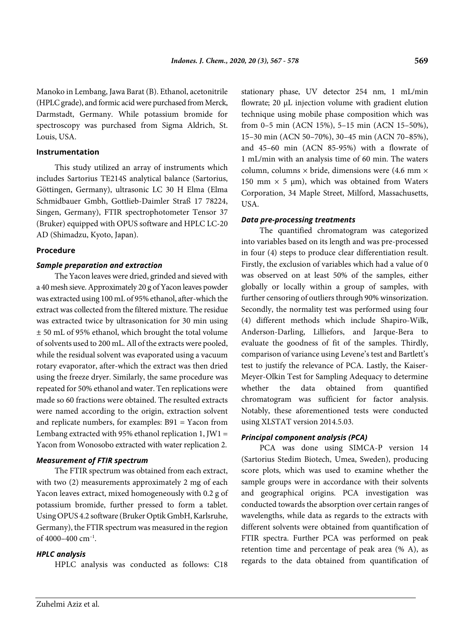Manoko in Lembang, Jawa Barat (B). Ethanol, acetonitrile (HPLC grade), and formic acid were purchased from Merck, Darmstadt, Germany. While potassium bromide for spectroscopy was purchased from Sigma Aldrich, St. Louis, USA.

#### **Instrumentation**

This study utilized an array of instruments which includes Sartorius TE214S analytical balance (Sartorius, Göttingen, Germany), ultrasonic LC 30 H Elma (Elma Schmidbauer Gmbh, Gottlieb-Daimler Straß 17 78224, Singen, Germany), FTIR spectrophotometer Tensor 37 (Bruker) equipped with OPUS software and HPLC LC-20 AD (Shimadzu, Kyoto, Japan).

#### **Procedure**

#### *Sample preparation and extraction*

The Yacon leaves were dried, grinded and sieved with a 40 mesh sieve. Approximately 20 g of Yacon leaves powder was extracted using 100 mL of 95% ethanol, after-which the extract was collected from the filtered mixture. The residue was extracted twice by ultrasonication for 30 min using ± 50 mL of 95% ethanol, which brought the total volume of solvents used to 200 mL. All of the extracts were pooled, while the residual solvent was evaporated using a vacuum rotary evaporator, after-which the extract was then dried using the freeze dryer. Similarly, the same procedure was repeated for 50% ethanol and water. Ten replications were made so 60 fractions were obtained. The resulted extracts were named according to the origin, extraction solvent and replicate numbers, for examples: B91 = Yacon from Lembang extracted with 95% ethanol replication 1, JW1 = Yacon from Wonosobo extracted with water replication 2.

### *Measurement of FTIR spectrum*

The FTIR spectrum was obtained from each extract, with two (2) measurements approximately 2 mg of each Yacon leaves extract, mixed homogeneously with 0.2 g of potassium bromide, further pressed to form a tablet. Using OPUS 4.2 software (Bruker Optik GmbH, Karlsruhe, Germany), the FTIR spectrum was measured in the region of 4000–400  $\text{cm}^{-1}$ .

### *HPLC analysis*

HPLC analysis was conducted as follows: C18

stationary phase, UV detector 254 nm, 1 mL/min flowrate; 20 μL injection volume with gradient elution technique using mobile phase composition which was from 0–5 min (ACN 15%), 5–15 min (ACN 15–50%), 15–30 min (ACN 50–70%), 30–45 min (ACN 70–85%), and 45–60 min (ACN 85-95%) with a flowrate of 1 mL/min with an analysis time of 60 min. The waters column, columns  $\times$  bride, dimensions were (4.6 mm  $\times$ 150 mm  $\times$  5 µm), which was obtained from Waters Corporation, 34 Maple Street, Milford, Massachusetts, USA.

### *Data pre-processing treatments*

The quantified chromatogram was categorized into variables based on its length and was pre-processed in four (4) steps to produce clear differentiation result. Firstly, the exclusion of variables which had a value of 0 was observed on at least 50% of the samples, either globally or locally within a group of samples, with further censoring of outliers through 90% winsorization. Secondly, the normality test was performed using four (4) different methods which include Shapiro-Wilk, Anderson-Darling, Lilliefors, and Jarque-Bera to evaluate the goodness of fit of the samples. Thirdly, comparison of variance using Levene's test and Bartlett's test to justify the relevance of PCA. Lastly, the Kaiser-Meyer-Olkin Test for Sampling Adequacy to determine whether the data obtained from quantified chromatogram was sufficient for factor analysis. Notably, these aforementioned tests were conducted using XLSTAT version 2014.5.03.

### *Principal component analysis (PCA)*

PCA was done using SIMCA-P version 14 (Sartorius Stedim Biotech, Umea, Sweden), producing score plots, which was used to examine whether the sample groups were in accordance with their solvents and geographical origins. PCA investigation was conducted towards the absorption over certain ranges of wavelengths, while data as regards to the extracts with different solvents were obtained from quantification of FTIR spectra. Further PCA was performed on peak retention time and percentage of peak area (% A), as regards to the data obtained from quantification of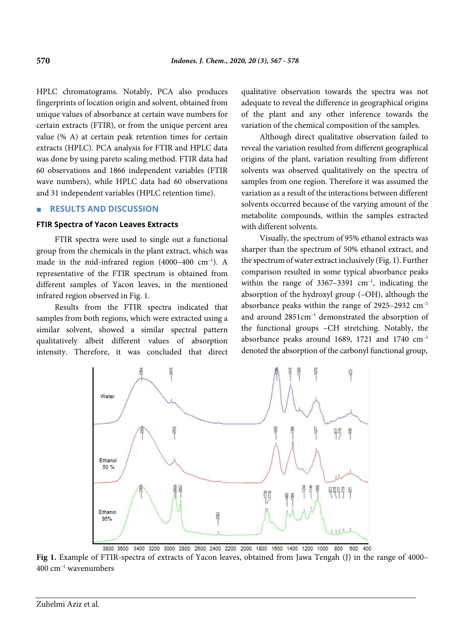HPLC chromatograms. Notably, PCA also produces fingerprints of location origin and solvent, obtained from unique values of absorbance at certain wave numbers for certain extracts (FTIR), or from the unique percent area value (% A) at certain peak retention times for certain extracts (HPLC). PCA analysis for FTIR and HPLC data was done by using pareto scaling method. FTIR data had 60 observations and 1866 independent variables (FTIR wave numbers), while HPLC data had 60 observations and 31 independent variables (HPLC retention time).

#### ■ **RESULTS AND DISCUSSION**

#### **FTIR Spectra of Yacon Leaves Extracts**

FTIR spectra were used to single out a functional group from the chemicals in the plant extract, which was made in the mid-infrared region  $(4000-400 \text{ cm}^{-1})$ . A representative of the FTIR spectrum is obtained from different samples of Yacon leaves, in the mentioned infrared region observed in Fig. 1.

Results from the FTIR spectra indicated that samples from both regions, which were extracted using a similar solvent, showed a similar spectral pattern qualitatively albeit different values of absorption intensity. Therefore, it was concluded that direct qualitative observation towards the spectra was not adequate to reveal the difference in geographical origins of the plant and any other inference towards the variation of the chemical composition of the samples.

Although direct qualitative observation failed to reveal the variation resulted from different geographical origins of the plant, variation resulting from different solvents was observed qualitatively on the spectra of samples from one region. Therefore it was assumed the variation as a result of the interactions between different solvents occurred because of the varying amount of the metabolite compounds, within the samples extracted with different solvents.

Visually, the spectrum of 95% ethanol extracts was sharper than the spectrum of 50% ethanol extract, and the spectrum of water extract inclusively (Fig. 1). Further comparison resulted in some typical absorbance peaks within the range of  $3367-3391$  cm<sup>-1</sup>, indicating the absorption of the hydroxyl group (–OH), although the absorbance peaks within the range of  $2925-2932$  cm<sup>-1</sup> and around 2851cm–1 demonstrated the absorption of the functional groups –CH stretching. Notably, the absorbance peaks around 1689, 1721 and 1740 cm–1 denoted the absorption of the carbonyl functional group,



3800 3600 3400 3200 3000 2800 2600 2400 2200 2000 1800 1600 1400 1200 1000 800 600  $\overline{A}$ Fig 1. Example of FTIR-spectra of extracts of Yacon leaves, obtained from Jawa Tengah (J) in the range of 4000–  $400 \text{ cm}^{-1}$  wavenumbers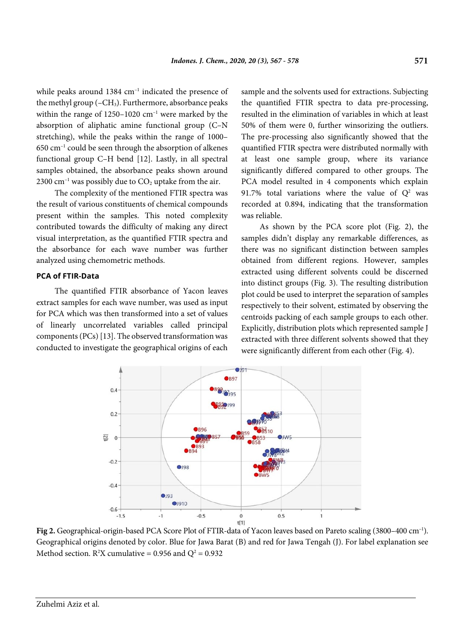while peaks around 1384 cm<sup>-1</sup> indicated the presence of the methyl group  $(-CH<sub>3</sub>)$ . Furthermore, absorbance peaks within the range of  $1250-1020$  cm<sup>-1</sup> were marked by the absorption of aliphatic amine functional group (C–N stretching), while the peaks within the range of 1000– 650 cm–1 could be seen through the absorption of alkenes functional group C–H bend [12]. Lastly, in all spectral samples obtained, the absorbance peaks shown around 2300 cm<sup>-1</sup> was possibly due to  $CO<sub>2</sub>$  uptake from the air.

The complexity of the mentioned FTIR spectra was the result of various constituents of chemical compounds present within the samples. This noted complexity contributed towards the difficulty of making any direct visual interpretation, as the quantified FTIR spectra and the absorbance for each wave number was further analyzed using chemometric methods.

#### **PCA of FTIR-Data**

The quantified FTIR absorbance of Yacon leaves extract samples for each wave number, was used as input for PCA which was then transformed into a set of values of linearly uncorrelated variables called principal components (PCs) [13]. The observed transformation was conducted to investigate the geographical origins of each sample and the solvents used for extractions. Subjecting the quantified FTIR spectra to data pre-processing, resulted in the elimination of variables in which at least 50% of them were 0, further winsorizing the outliers. The pre-processing also significantly showed that the quantified FTIR spectra were distributed normally with at least one sample group, where its variance significantly differed compared to other groups. The PCA model resulted in 4 components which explain 91.7% total variations where the value of  $Q^2$  was recorded at 0.894, indicating that the transformation was reliable.

As shown by the PCA score plot (Fig. 2), the samples didn't display any remarkable differences, as there was no significant distinction between samples obtained from different regions. However, samples extracted using different solvents could be discerned into distinct groups (Fig. 3). The resulting distribution plot could be used to interpret the separation of samples respectively to their solvent, estimated by observing the centroids packing of each sample groups to each other. Explicitly, distribution plots which represented sample J extracted with three different solvents showed that they were significantly different from each other (Fig. 4).



Fig 2. Geographical-origin-based PCA Score Plot of FTIR-data of Yacon leaves based on Pareto scaling (3800–400 cm<sup>-1</sup>). Geographical origins denoted by color. Blue for Jawa Barat (B) and red for Jawa Tengah (J). For label explanation see Method section.  $R^2X$  cumulative = 0.956 and  $Q^2 = 0.932$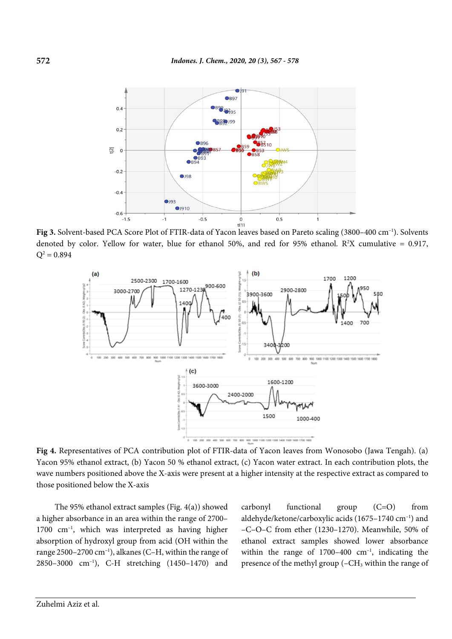

Fig 3. Solvent-based PCA Score Plot of FTIR-data of Yacon leaves based on Pareto scaling (3800-400 cm<sup>-1</sup>). Solvents denoted by color. Yellow for water, blue for ethanol 50%, and red for 95% ethanol.  $R^2X$  cumulative = 0.917,  $Q^2 = 0.894$ 



**Fig 4.** Representatives of PCA contribution plot of FTIR-data of Yacon leaves from Wonosobo (Jawa Tengah). (a) Yacon 95% ethanol extract, (b) Yacon 50 % ethanol extract, (c) Yacon water extract. In each contribution plots, the wave numbers positioned above the X-axis were present at a higher intensity at the respective extract as compared to those positioned below the X-axis

The 95% ethanol extract samples (Fig. 4(a)) showed a higher absorbance in an area within the range of 2700– 1700 cm–1 , which was interpreted as having higher absorption of hydroxyl group from acid (OH within the range 2500–2700 cm<sup>-1</sup>), alkanes (C–H, within the range of 2850–3000 cm–1 ), C-H stretching (1450–1470) and carbonyl functional group (C=O) from aldehyde/ketone/carboxylic acids (1675–1740 cm<sup>-1</sup>) and –C–O–C from ether (1230–1270). Meanwhile, 50% of ethanol extract samples showed lower absorbance within the range of  $1700-400$  cm<sup>-1</sup>, indicating the presence of the methyl group (–CH3 within the range of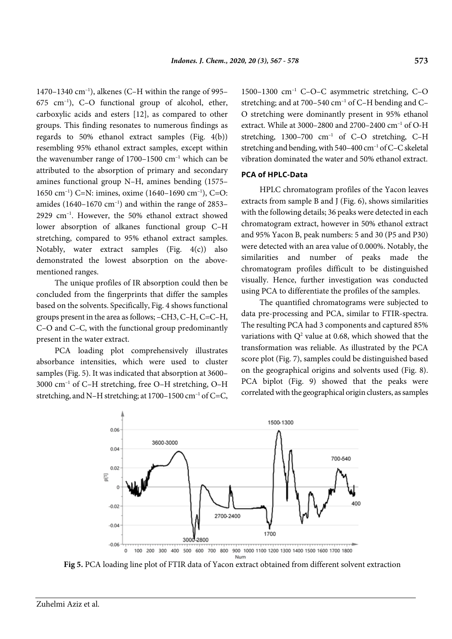1470–1340 cm–1 ), alkenes (C–H within the range of 995– 675 cm–1 ), C–O functional group of alcohol, ether, carboxylic acids and esters [12], as compared to other groups. This finding resonates to numerous findings as regards to 50% ethanol extract samples (Fig. 4(b)) resembling 95% ethanol extract samples, except within the wavenumber range of  $1700-1500$  cm<sup>-1</sup> which can be attributed to the absorption of primary and secondary amines functional group N–H, amines bending (1575– 1650 cm–1 ) C=N: imines, oxime (1640–1690 cm–1 ), C=O: amides (1640–1670  $\text{cm}^{-1}$ ) and within the range of 2853– 2929 cm–1 . However, the 50% ethanol extract showed lower absorption of alkanes functional group C–H stretching, compared to 95% ethanol extract samples. Notably, water extract samples (Fig. 4(c)) also demonstrated the lowest absorption on the abovementioned ranges.

The unique profiles of IR absorption could then be concluded from the fingerprints that differ the samples based on the solvents. Specifically, Fig. 4 shows functional groups present in the area as follows; –CH3, C–H, C=C–H, C–O and C–C, with the functional group predominantly present in the water extract.

PCA loading plot comprehensively illustrates absorbance intensities, which were used to cluster samples (Fig. 5). It was indicated that absorption at 3600– 3000 cm–1 of C–H stretching, free O–H stretching, O–H stretching, and N–H stretching; at  $1700-1500$  cm<sup>-1</sup> of C=C, 1500–1300 cm–1 C–O–C asymmetric stretching, C–O stretching; and at 700–540 cm<sup>-1</sup> of C-H bending and C-O stretching were dominantly present in 95% ethanol extract. While at 3000–2800 and 2700–2400 cm–1 of O-H stretching,  $1300-700$  cm<sup>-1</sup> of C-O stretching, C-H stretching and bending, with 540-400 cm<sup>-1</sup> of C-C skeletal vibration dominated the water and 50% ethanol extract.

#### **PCA of HPLC-Data**

HPLC chromatogram profiles of the Yacon leaves extracts from sample B and J (Fig. 6), shows similarities with the following details; 36 peaks were detected in each chromatogram extract, however in 50% ethanol extract and 95% Yacon B, peak numbers: 5 and 30 (P5 and P30) were detected with an area value of 0.000%. Notably, the similarities and number of peaks made the chromatogram profiles difficult to be distinguished visually. Hence, further investigation was conducted using PCA to differentiate the profiles of the samples.

The quantified chromatograms were subjected to data pre-processing and PCA, similar to FTIR-spectra. The resulting PCA had 3 components and captured 85% variations with  $Q^2$  value at 0.68, which showed that the transformation was reliable. As illustrated by the PCA score plot (Fig. 7), samples could be distinguished based on the geographical origins and solvents used (Fig. 8). PCA biplot (Fig. 9) showed that the peaks were correlated with the geographical origin clusters, as samples



**Fig 5.** PCA loading line plot of FTIR data of Yacon extract obtained from different solvent extraction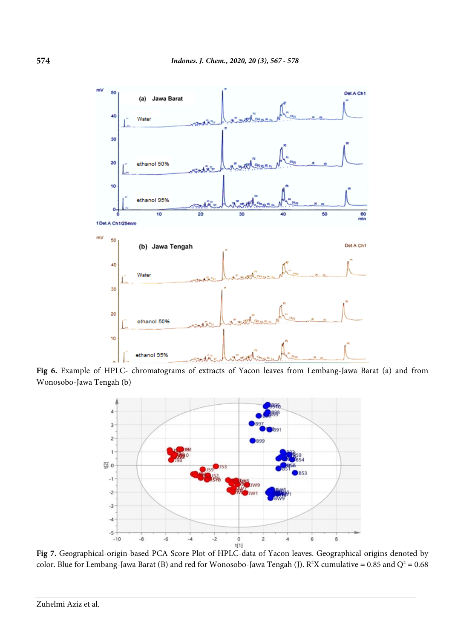

Fig 6. Example of HPLC- chromatograms of extracts of Yacon leaves from Lembang-Jawa Barat (a) and from Wonosobo-Jawa Tengah (b)



**Fig 7.** Geographical-origin-based PCA Score Plot of HPLC-data of Yacon leaves. Geographical origins denoted by color. Blue for Lembang-Jawa Barat (B) and red for Wonosobo-Jawa Tengah (J).  $R^2X$  cumulative = 0.85 and Q<sup>2</sup> = 0.68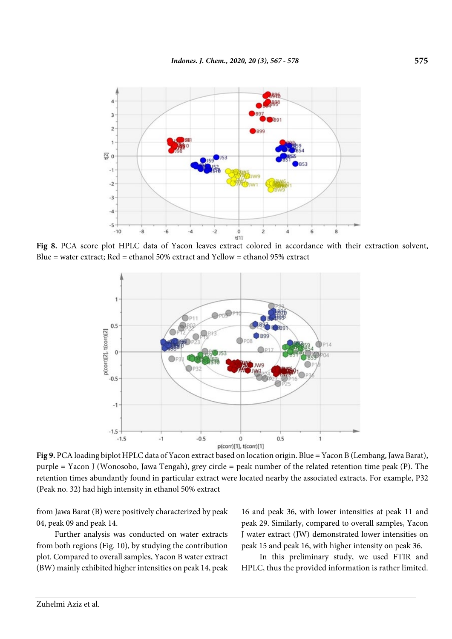

Fig 8. PCA score plot HPLC data of Yacon leaves extract colored in accordance with their extraction solvent, Blue = water extract; Red = ethanol 50% extract and Yellow = ethanol 95% extract



**Fig 9.** PCA loading biplot HPLC data of Yacon extract based on location origin. Blue = Yacon B (Lembang, Jawa Barat), purple = Yacon J (Wonosobo, Jawa Tengah), grey circle = peak number of the related retention time peak (P). The retention times abundantly found in particular extract were located nearby the associated extracts. For example, P32 (Peak no. 32) had high intensity in ethanol 50% extract

from Jawa Barat (B) were positively characterized by peak 04, peak 09 and peak 14.

Further analysis was conducted on water extracts from both regions (Fig. 10), by studying the contribution plot. Compared to overall samples, Yacon B water extract (BW) mainly exhibited higher intensities on peak 14, peak 16 and peak 36, with lower intensities at peak 11 and peak 29. Similarly, compared to overall samples, Yacon J water extract (JW) demonstrated lower intensities on peak 15 and peak 16, with higher intensity on peak 36.

In this preliminary study, we used FTIR and HPLC, thus the provided information is rather limited.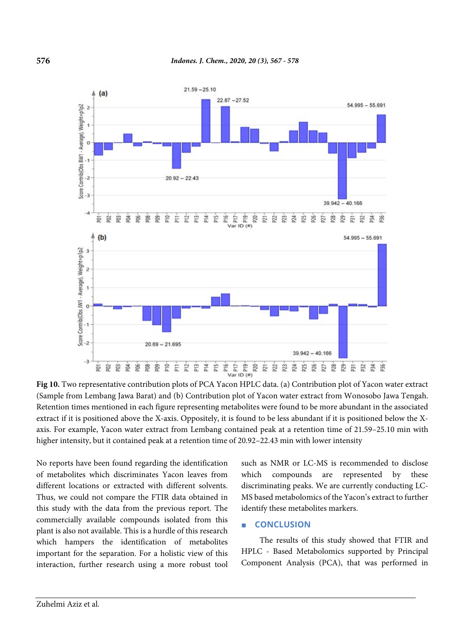

**Fig 10.** Two representative contribution plots of PCA Yacon HPLC data. (a) Contribution plot of Yacon water extract (Sample from Lembang Jawa Barat) and (b) Contribution plot of Yacon water extract from Wonosobo Jawa Tengah. Retention times mentioned in each figure representing metabolites were found to be more abundant in the associated extract if it is positioned above the X-axis. Oppositely, it is found to be less abundant if it is positioned below the Xaxis. For example, Yacon water extract from Lembang contained peak at a retention time of 21.59–25.10 min with higher intensity, but it contained peak at a retention time of 20.92–22.43 min with lower intensity

No reports have been found regarding the identification of metabolites which discriminates Yacon leaves from different locations or extracted with different solvents. Thus, we could not compare the FTIR data obtained in this study with the data from the previous report. The commercially available compounds isolated from this plant is also not available. This is a hurdle of this research which hampers the identification of metabolites important for the separation. For a holistic view of this interaction, further research using a more robust tool such as NMR or LC-MS is recommended to disclose which compounds are represented by these discriminating peaks. We are currently conducting LC-MS based metabolomics of the Yacon's extract to further identify these metabolites markers.

### ■ **CONCLUSION**

The results of this study showed that FTIR and HPLC - Based Metabolomics supported by Principal Component Analysis (PCA), that was performed in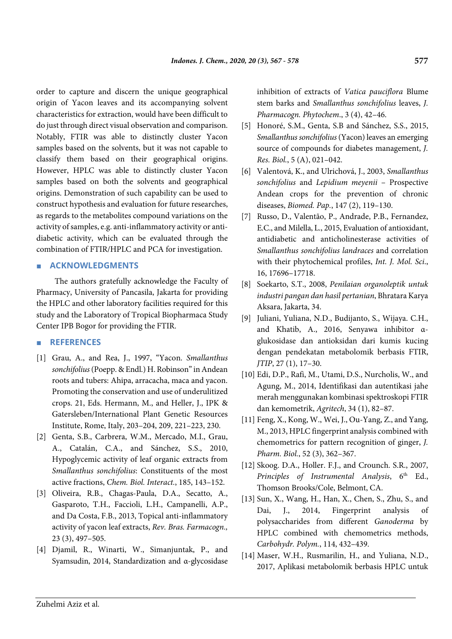order to capture and discern the unique geographical origin of Yacon leaves and its accompanying solvent characteristics for extraction, would have been difficult to do just through direct visual observation and comparison. Notably, FTIR was able to distinctly cluster Yacon samples based on the solvents, but it was not capable to classify them based on their geographical origins. However, HPLC was able to distinctly cluster Yacon samples based on both the solvents and geographical origins. Demonstration of such capability can be used to construct hypothesis and evaluation for future researches, as regards to the metabolites compound variations on the activity of samples, e.g. anti-inflammatory activity or antidiabetic activity, which can be evaluated through the combination of FTIR/HPLC and PCA for investigation.

### ■ **ACKNOWLEDGMENTS**

The authors gratefully acknowledge the Faculty of Pharmacy, University of Pancasila, Jakarta for providing the HPLC and other laboratory facilities required for this study and the Laboratory of Tropical Biopharmaca Study Center IPB Bogor for providing the FTIR.

### ■ **REFERENCES**

- [1] Grau, A., and Rea, J., 1997, "Yacon. *Smallanthus sonchifolius*(Poepp. & Endl.) H. Robinson" in Andean roots and tubers: Ahipa, arracacha, maca and yacon. Promoting the conservation and use of underulitized crops. 21, Eds. Hermann, M., and Heller, J., IPK & Gatersleben/International Plant Genetic Resources Institute, Rome, Italy, 203–204, 209, 221–223, 230.
- [2] Genta, S.B., Carbrera, W.M., Mercado, M.I., Grau, A., Catalán, C.A., and Sánchez, S.S., 2010, Hypoglycemic activity of leaf organic extracts from *Smallanthus sonchifolius*: Constituents of the most active fractions, *Chem. Biol. Interact.*, 185, 143–152.
- [3] Oliveira, R.B., Chagas-Paula, D.A., Secatto, A., Gasparoto, T.H., Faccioli, L.H., Campanelli, A.P., and Da Costa, F.B., 2013, Topical anti-inflammatory activity of yacon leaf extracts, *Rev. Bras. Farmacogn.,* 23 (3), 497–505.
- [4] Djamil, R., Winarti, W., Simanjuntak, P., and Syamsudin, 2014, Standardization and α-glycosidase

inhibition of extracts of *Vatica pauciflora* Blume stem barks and *Smallanthus sonchifolius* leaves, *J. Pharmacogn. Phytochem*., 3 (4), 42–46.

- [5] Honoré, S.M., Genta, S.B and Sánchez, S.S., 2015, *Smallanthus sonchifolius* (Yacon) leaves an emerging source of compounds for diabetes management, *J. Res. Biol.*, 5 (A), 021–042.
- [6] Valentová, K., and Ulrichová, J., 2003, *Smallanthus sonchifolius* and *Lepidium meyenii* – Prospective Andean crops for the prevention of chronic diseases, *Biomed. Pap.*, 147 (2), 119–130.
- [7] Russo, D., Valentão, P., Andrade, P.B., Fernandez, E.C., and Milella, L., 2015, Evaluation of antioxidant, antidiabetic and anticholinesterase activities of *Smallanthus sonchifolius landraces* and correlation with their phytochemical profiles, *Int. J. Mol. Sci*., 16, 17696–17718.
- [8] Soekarto, S.T., 2008, *Penilaian organoleptik untuk industri pangan dan hasil pertanian*, Bhratara Karya Aksara, Jakarta, 34.
- [9] Juliani, Yuliana, N.D., Budijanto, S., Wijaya. C.H., and Khatib, A., 2016, Senyawa inhibitor αglukosidase dan antioksidan dari kumis kucing dengan pendekatan metabolomik berbasis FTIR, *JTIP*, 27 (1), 17–30.
- [10] Edi, D.P., Rafi, M., Utami, D.S., Nurcholis, W., and Agung, M., 2014, Identifikasi dan autentikasi jahe merah menggunakan kombinasi spektroskopi FTIR dan kemometrik, *Agritech*, 34 (1), 82–87.
- [11] Feng, X., Kong, W., Wei, J., Ou-Yang, Z., and Yang, M., 2013, HPLC fingerprint analysis combined with chemometrics for pattern recognition of ginger, *J. Pharm. Biol.*, 52 (3), 362–367.
- [12] Skoog. D.A., Holler. F.J., and Crounch. S.R., 2007, *Principles of Instrumental Analysis*,  $6<sup>th</sup>$  Ed., Thomson Brooks/Cole, Belmont, CA.
- [13] Sun, X., Wang, H., Han, X., Chen, S., Zhu, S., and Dai, J., 2014, Fingerprint analysis of polysaccharides from different *Ganoderma* by HPLC combined with chemometrics methods, *Carbohydr. Polym.*, 114, 432–439.
- [14] Maser, W.H., Rusmarilin, H., and Yuliana, N.D., 2017, Aplikasi metabolomik berbasis HPLC untuk